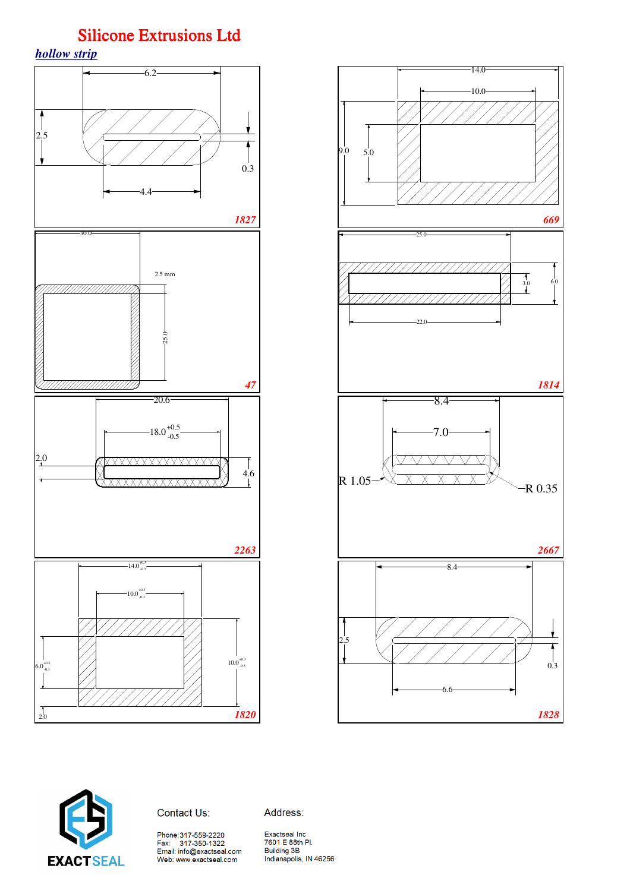





Contact Us:

Address:

Phone:317-559-2220<br>Fax: 317-350-1322<br>Email: info@exactseal.com Web: www.exactseal.com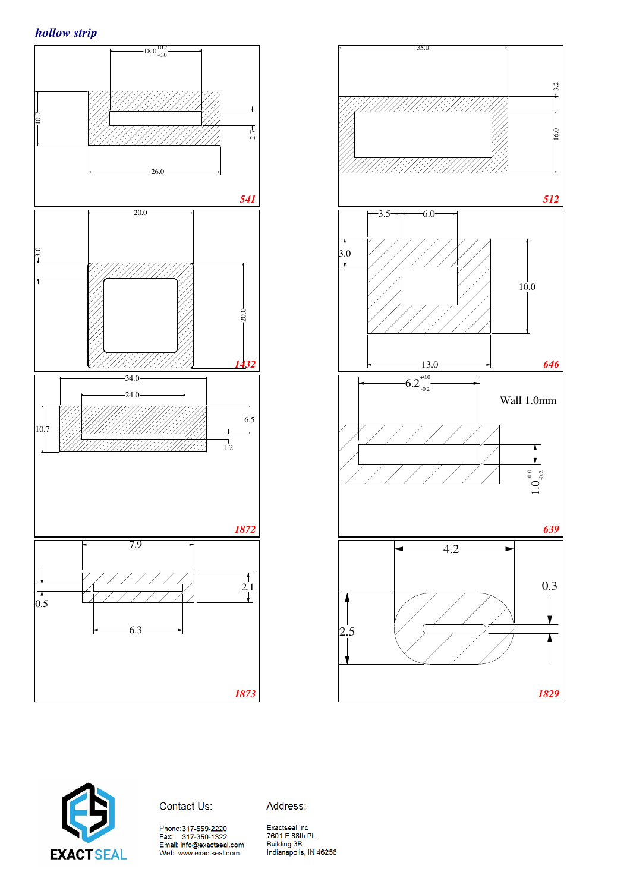





Contact Us:

Address:

Phone:317-559-2220<br>Fax: 317-350-1322<br>Email: info@exactseal.com<br>Web: www.exactseal.com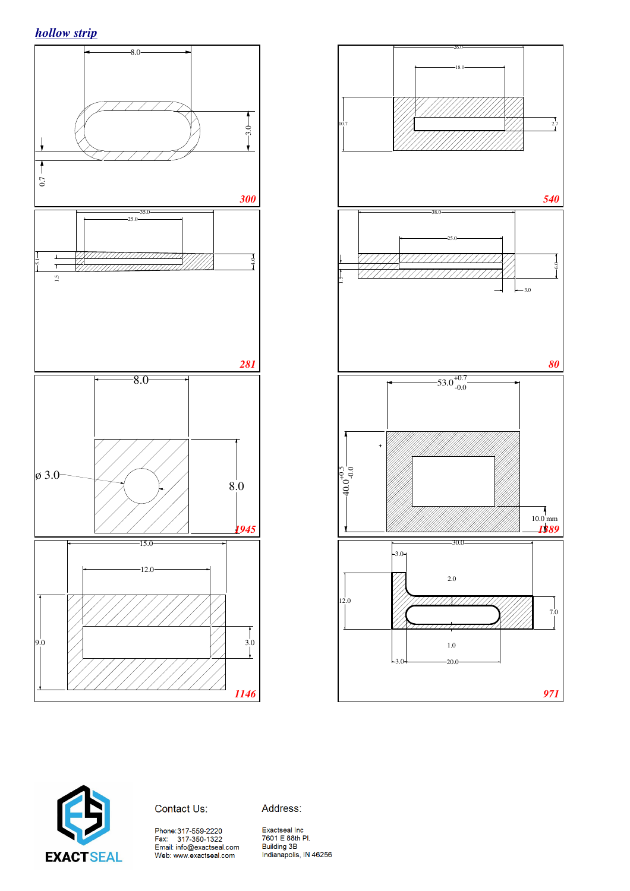





Contact Us:

Address:

Phone:317-559-2220<br>Fax: 317-350-1322<br>Email: info@exactseal.com<br>Web: www.exactseal.com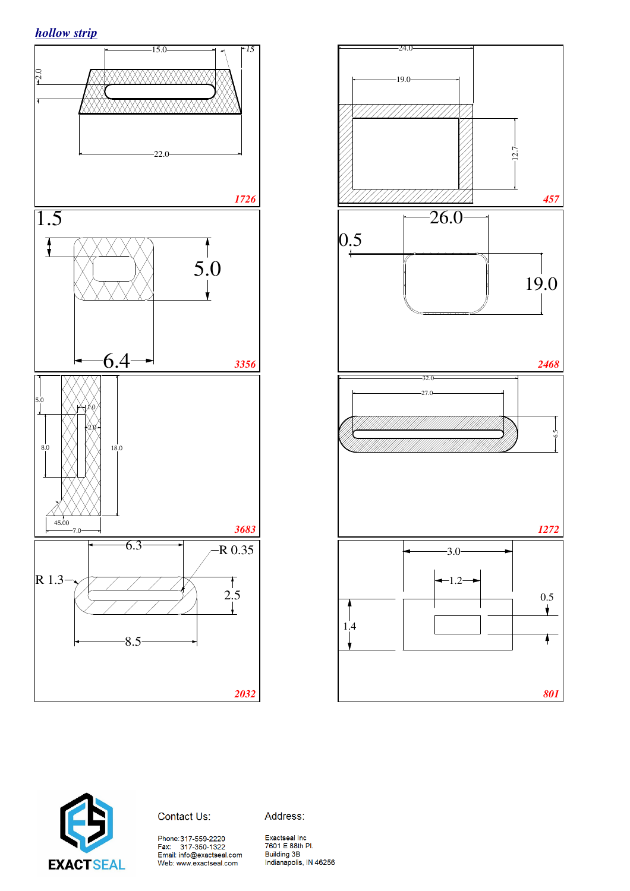





### Contact Us:

Phone:317-559-2220<br>Fax: 317-350-1322<br>Email: info@exactseal.com<br>Web: www.exactseal.com

Address: